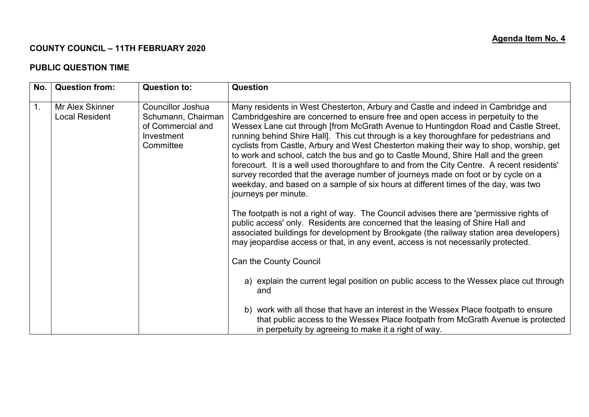## **COUNTY COUNCIL – 11TH FEBRUARY 2020**

## **PUBLIC QUESTION TIME**

| No.            | <b>Question from:</b>                    | <b>Question to:</b>                                                                     | <b>Question</b>                                                                                                                                                                                                                                                                                                                                                                                                                                                                                                                                                                                                                                                                                                                                                                                                                        |
|----------------|------------------------------------------|-----------------------------------------------------------------------------------------|----------------------------------------------------------------------------------------------------------------------------------------------------------------------------------------------------------------------------------------------------------------------------------------------------------------------------------------------------------------------------------------------------------------------------------------------------------------------------------------------------------------------------------------------------------------------------------------------------------------------------------------------------------------------------------------------------------------------------------------------------------------------------------------------------------------------------------------|
| $\mathbf{1}$ . | Mr Alex Skinner<br><b>Local Resident</b> | Councillor Joshua<br>Schumann, Chairman<br>of Commercial and<br>Investment<br>Committee | Many residents in West Chesterton, Arbury and Castle and indeed in Cambridge and<br>Cambridgeshire are concerned to ensure free and open access in perpetuity to the<br>Wessex Lane cut through [from McGrath Avenue to Huntingdon Road and Castle Street,<br>running behind Shire Hall]. This cut through is a key thoroughfare for pedestrians and<br>cyclists from Castle, Arbury and West Chesterton making their way to shop, worship, get<br>to work and school, catch the bus and go to Castle Mound, Shire Hall and the green<br>forecourt. It is a well used thoroughfare to and from the City Centre. A recent residents'<br>survey recorded that the average number of journeys made on foot or by cycle on a<br>weekday, and based on a sample of six hours at different times of the day, was two<br>journeys per minute. |
|                |                                          |                                                                                         | The footpath is not a right of way. The Council advises there are 'permissive rights of<br>public access' only. Residents are concerned that the leasing of Shire Hall and<br>associated buildings for development by Brookgate (the railway station area developers)<br>may jeopardise access or that, in any event, access is not necessarily protected.                                                                                                                                                                                                                                                                                                                                                                                                                                                                             |
|                |                                          |                                                                                         | Can the County Council                                                                                                                                                                                                                                                                                                                                                                                                                                                                                                                                                                                                                                                                                                                                                                                                                 |
|                |                                          |                                                                                         | a) explain the current legal position on public access to the Wessex place cut through<br>and                                                                                                                                                                                                                                                                                                                                                                                                                                                                                                                                                                                                                                                                                                                                          |
|                |                                          |                                                                                         | b) work with all those that have an interest in the Wessex Place footpath to ensure<br>that public access to the Wessex Place footpath from McGrath Avenue is protected<br>in perpetuity by agreeing to make it a right of way.                                                                                                                                                                                                                                                                                                                                                                                                                                                                                                                                                                                                        |